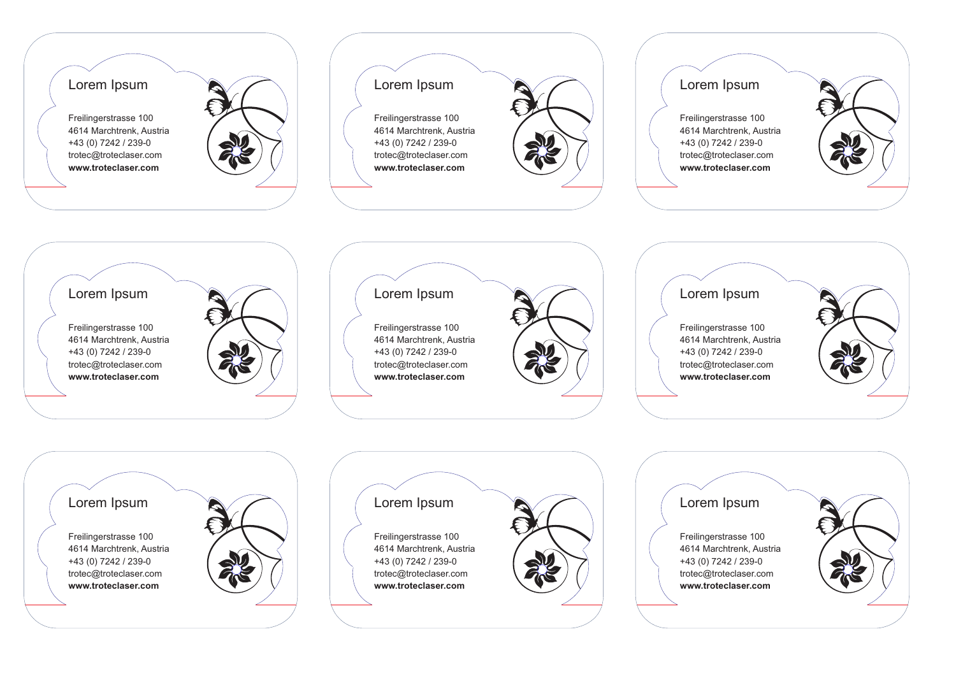